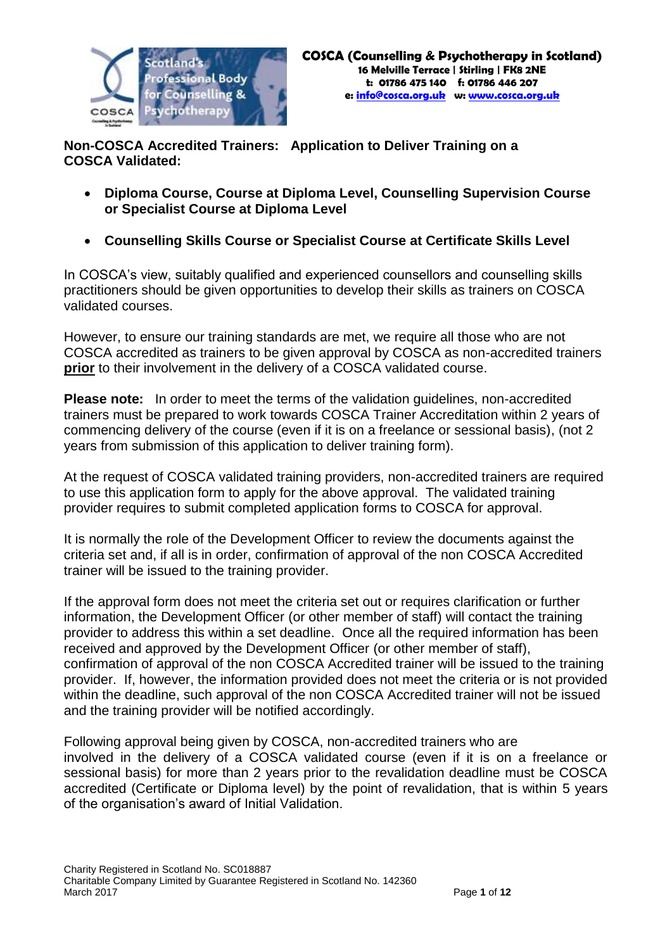

**Non-COSCA Accredited Trainers: Application to Deliver Training on a COSCA Validated:**

- **Diploma Course, Course at Diploma Level, Counselling Supervision Course or Specialist Course at Diploma Level**
- **Counselling Skills Course or Specialist Course at Certificate Skills Level**

In COSCA's view, suitably qualified and experienced counsellors and counselling skills practitioners should be given opportunities to develop their skills as trainers on COSCA validated courses.

However, to ensure our training standards are met, we require all those who are not COSCA accredited as trainers to be given approval by COSCA as non-accredited trainers **prior** to their involvement in the delivery of a COSCA validated course.

**Please note:** In order to meet the terms of the validation guidelines, non-accredited trainers must be prepared to work towards COSCA Trainer Accreditation within 2 years of commencing delivery of the course (even if it is on a freelance or sessional basis), (not 2 years from submission of this application to deliver training form).

At the request of COSCA validated training providers, non-accredited trainers are required to use this application form to apply for the above approval. The validated training provider requires to submit completed application forms to COSCA for approval.

It is normally the role of the Development Officer to review the documents against the criteria set and, if all is in order, confirmation of approval of the non COSCA Accredited trainer will be issued to the training provider.

If the approval form does not meet the criteria set out or requires clarification or further information, the Development Officer (or other member of staff) will contact the training provider to address this within a set deadline. Once all the required information has been received and approved by the Development Officer (or other member of staff), confirmation of approval of the non COSCA Accredited trainer will be issued to the training provider. If, however, the information provided does not meet the criteria or is not provided within the deadline, such approval of the non COSCA Accredited trainer will not be issued and the training provider will be notified accordingly.

Following approval being given by COSCA, non-accredited trainers who are involved in the delivery of a COSCA validated course (even if it is on a freelance or sessional basis) for more than 2 years prior to the revalidation deadline must be COSCA accredited (Certificate or Diploma level) by the point of revalidation, that is within 5 years of the organisation's award of Initial Validation.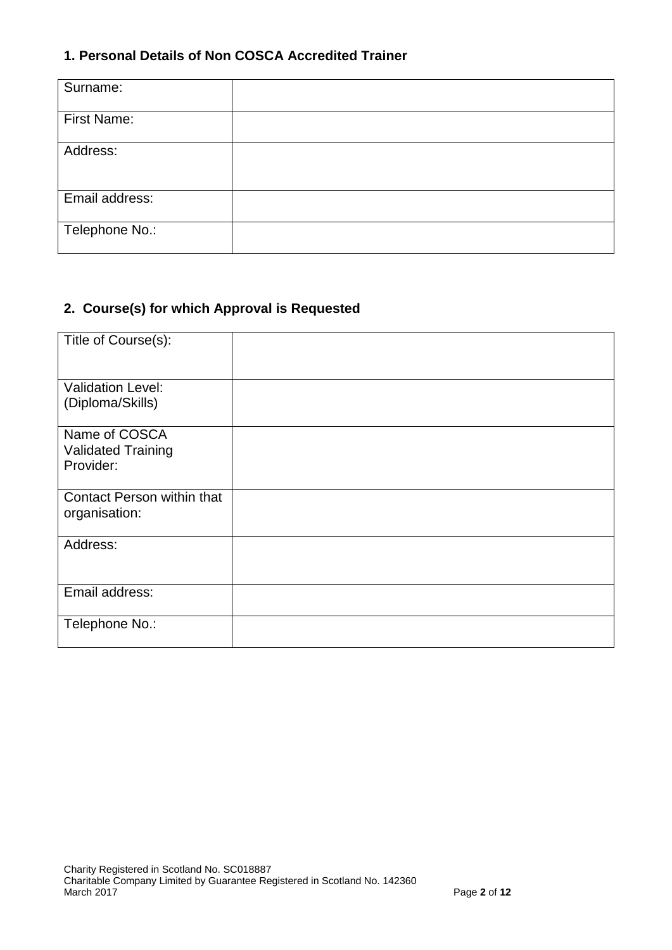## **1. Personal Details of Non COSCA Accredited Trainer**

| Surname:       |  |
|----------------|--|
| First Name:    |  |
| Address:       |  |
| Email address: |  |
| Telephone No.: |  |

# **2. Course(s) for which Approval is Requested**

| Title of Course(s):                                     |  |
|---------------------------------------------------------|--|
| <b>Validation Level:</b><br>(Diploma/Skills)            |  |
| Name of COSCA<br><b>Validated Training</b><br>Provider: |  |
| Contact Person within that<br>organisation:             |  |
| Address:                                                |  |
| Email address:                                          |  |
| Telephone No.:                                          |  |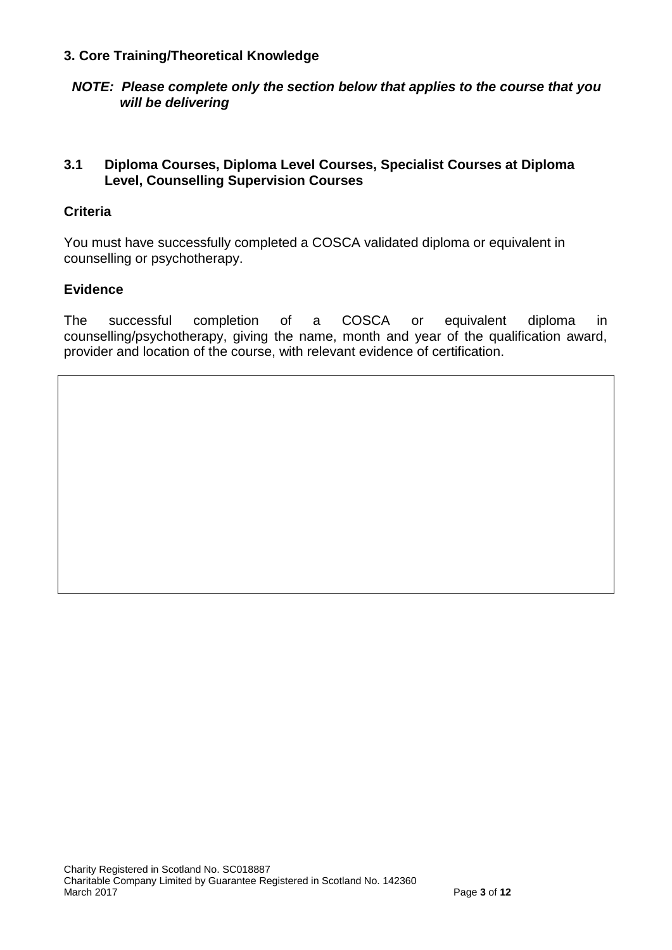#### **3. Core Training/Theoretical Knowledge**

*NOTE: Please complete only the section below that applies to the course that you will be delivering*

## **3.1 Diploma Courses, Diploma Level Courses, Specialist Courses at Diploma Level, Counselling Supervision Courses**

### **Criteria**

You must have successfully completed a COSCA validated diploma or equivalent in counselling or psychotherapy.

#### **Evidence**

The successful completion of a COSCA or equivalent diploma in counselling/psychotherapy, giving the name, month and year of the qualification award, provider and location of the course, with relevant evidence of certification.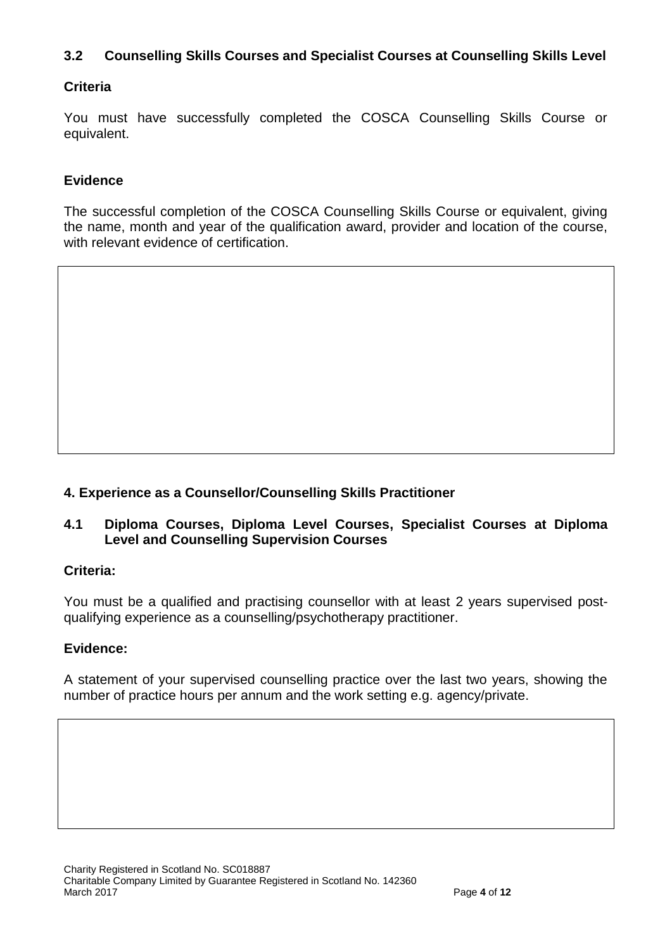# **3.2 Counselling Skills Courses and Specialist Courses at Counselling Skills Level**

# **Criteria**

You must have successfully completed the COSCA Counselling Skills Course or equivalent.

## **Evidence**

The successful completion of the COSCA Counselling Skills Course or equivalent, giving the name, month and year of the qualification award, provider and location of the course, with relevant evidence of certification.

## **4. Experience as a Counsellor/Counselling Skills Practitioner**

## **4.1 Diploma Courses, Diploma Level Courses, Specialist Courses at Diploma Level and Counselling Supervision Courses**

#### **Criteria:**

You must be a qualified and practising counsellor with at least 2 years supervised postqualifying experience as a counselling/psychotherapy practitioner.

#### **Evidence:**

A statement of your supervised counselling practice over the last two years, showing the number of practice hours per annum and the work setting e.g. agency/private.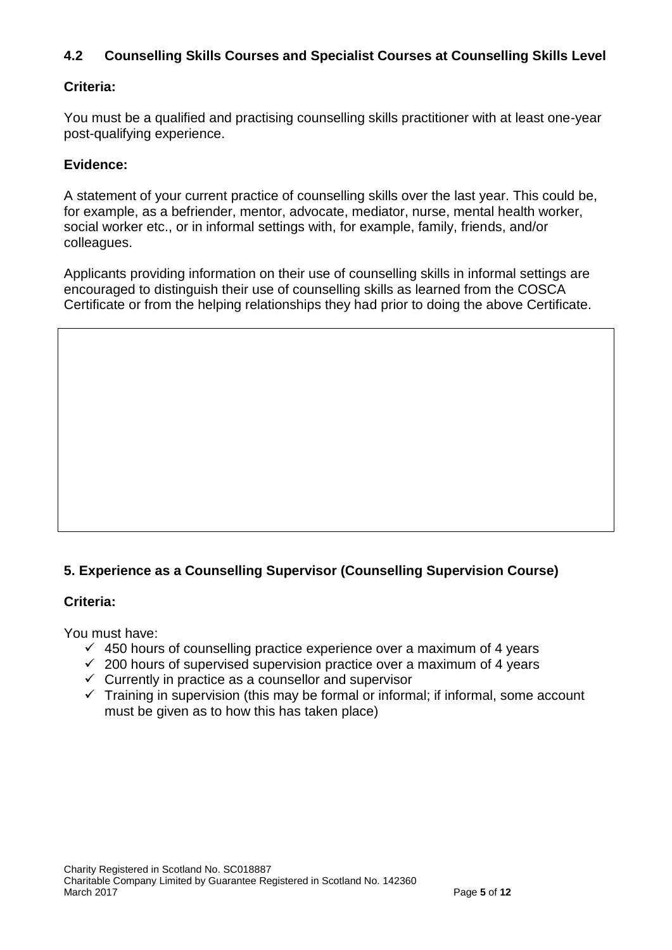# **4.2 Counselling Skills Courses and Specialist Courses at Counselling Skills Level**

# **Criteria:**

You must be a qualified and practising counselling skills practitioner with at least one-year post-qualifying experience.

## **Evidence:**

A statement of your current practice of counselling skills over the last year. This could be, for example, as a befriender, mentor, advocate, mediator, nurse, mental health worker, social worker etc., or in informal settings with, for example, family, friends, and/or colleagues.

Applicants providing information on their use of counselling skills in informal settings are encouraged to distinguish their use of counselling skills as learned from the COSCA Certificate or from the helping relationships they had prior to doing the above Certificate.

# **5. Experience as a Counselling Supervisor (Counselling Supervision Course)**

#### **Criteria:**

You must have:

- $\checkmark$  450 hours of counselling practice experience over a maximum of 4 years
- $\checkmark$  200 hours of supervised supervision practice over a maximum of 4 years
- $\checkmark$  Currently in practice as a counsellor and supervisor
- $\checkmark$  Training in supervision (this may be formal or informal; if informal, some account must be given as to how this has taken place)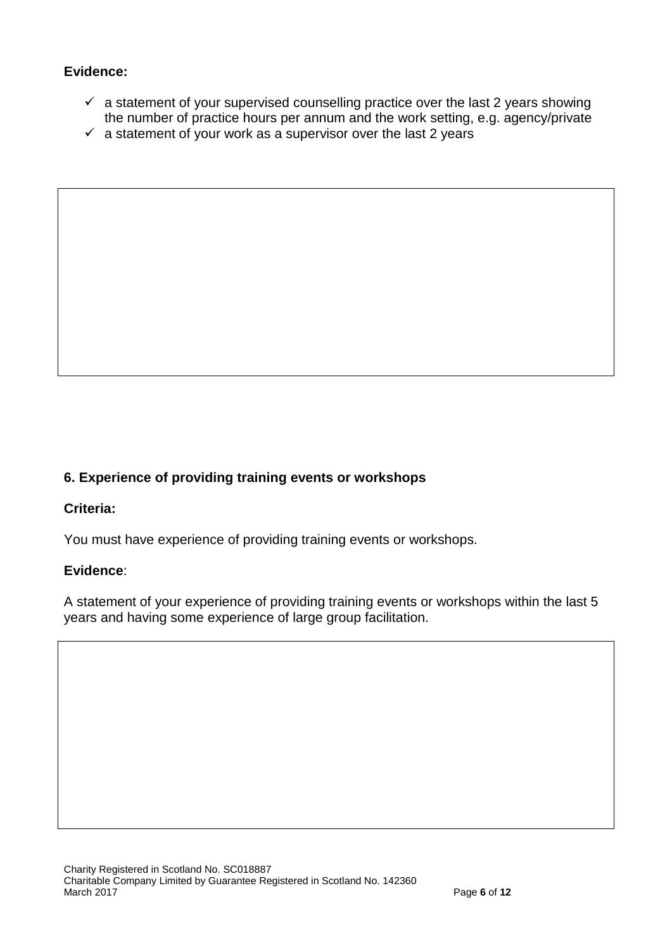# **Evidence:**

- $\checkmark$  a statement of your supervised counselling practice over the last 2 years showing the number of practice hours per annum and the work setting, e.g. agency/private
- $\checkmark$  a statement of your work as a supervisor over the last 2 years

# **6. Experience of providing training events or workshops**

#### **Criteria:**

You must have experience of providing training events or workshops.

#### **Evidence**:

A statement of your experience of providing training events or workshops within the last 5 years and having some experience of large group facilitation.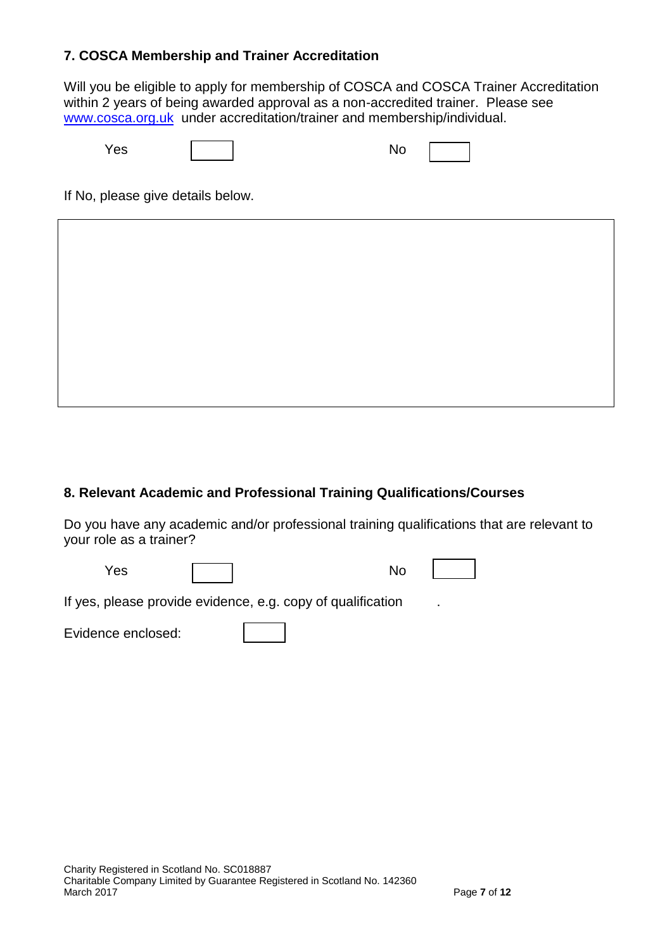## **7. COSCA Membership and Trainer Accreditation**

Will you be eligible to apply for membership of COSCA and COSCA Trainer Accreditation within 2 years of being awarded approval as a non-accredited trainer. Please see [www.cosca.org.uk](http://www.cosca.org.uk/) under accreditation/trainer and membership/individual.

| $\overline{\phantom{a}}$<br>ნა | мı<br>$\sim$ |  |
|--------------------------------|--------------|--|

If No, please give details below.

#### **8. Relevant Academic and Professional Training Qualifications/Courses**

Do you have any academic and/or professional training qualifications that are relevant to your role as a trainer?

Yes | | | No

If yes, please provide evidence, e.g. copy of qualification

Evidence enclosed: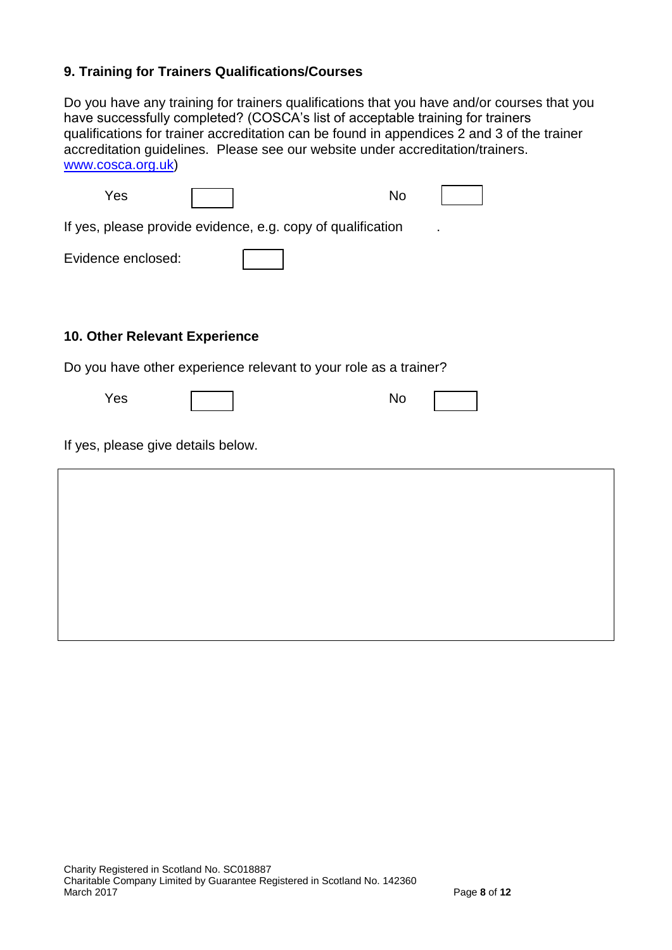# **9. Training for Trainers Qualifications/Courses**

Do you have any training for trainers qualifications that you have and/or courses that you have successfully completed? (COSCA's list of acceptable training for trainers qualifications for trainer accreditation can be found in appendices 2 and 3 of the trainer accreditation guidelines. Please see our website under accreditation/trainers. [www.cosca.org.uk\)](http://www.cosca.org.uk/)

| Yes                                                              |  |  | <b>No</b> |  |
|------------------------------------------------------------------|--|--|-----------|--|
| If yes, please provide evidence, e.g. copy of qualification      |  |  |           |  |
| Evidence enclosed:                                               |  |  |           |  |
| <b>10. Other Relevant Experience</b>                             |  |  |           |  |
| Do you have other experience relevant to your role as a trainer? |  |  |           |  |
| Yes                                                              |  |  | <b>No</b> |  |
| If yes, please give details below.                               |  |  |           |  |
|                                                                  |  |  |           |  |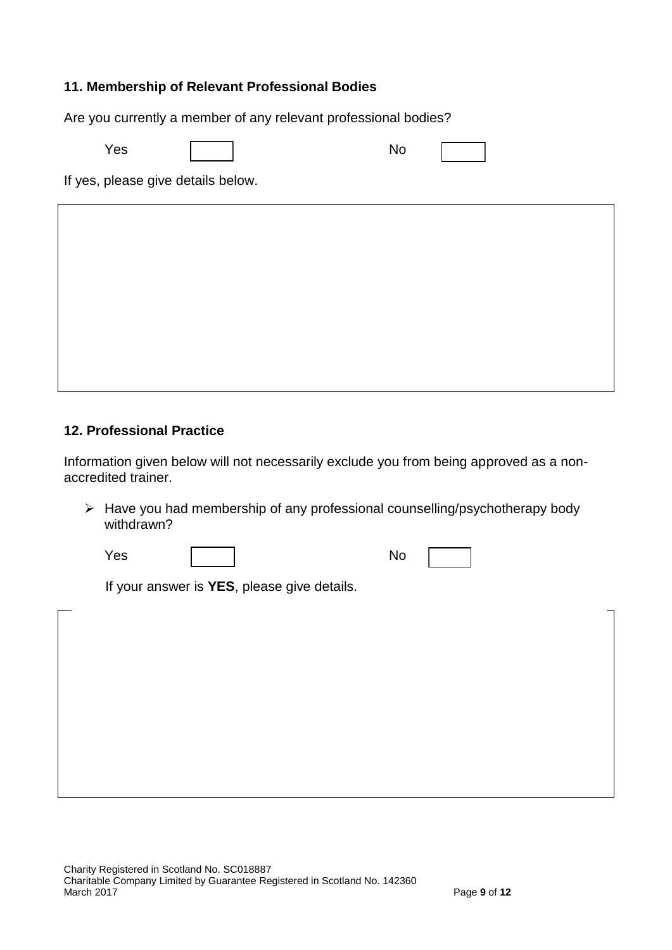## **11. Membership of Relevant Professional Bodies**

Are you currently a member of any relevant professional bodies?

Yes | | | No

If yes, please give details below.

### **12. Professional Practice**

Information given below will not necessarily exclude you from being approved as a nonaccredited trainer.

 $\triangleright$  Have you had membership of any professional counselling/psychotherapy body withdrawn?

Yes | | | No

If your answer is **YES**, please give details.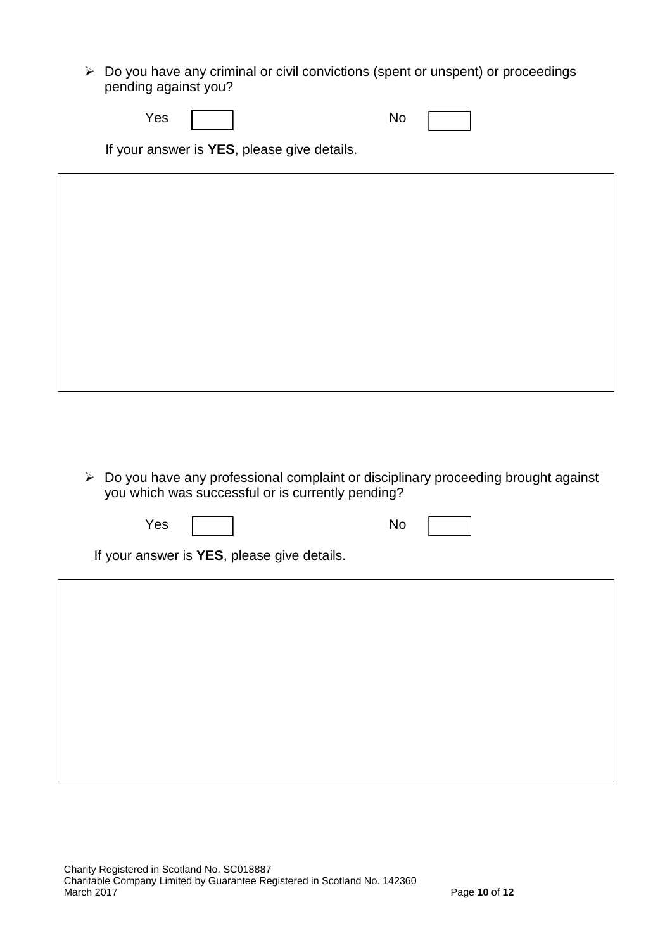$\triangleright$  Do you have any criminal or civil convictions (spent or unspent) or proceedings pending against you?

| Yes<br>No |  |
|-----------|--|
|-----------|--|

If your answer is **YES**, please give details.

 Do you have any professional complaint or disciplinary proceeding brought against you which was successful or is currently pending?

Yes | | No

If your answer is **YES**, please give details.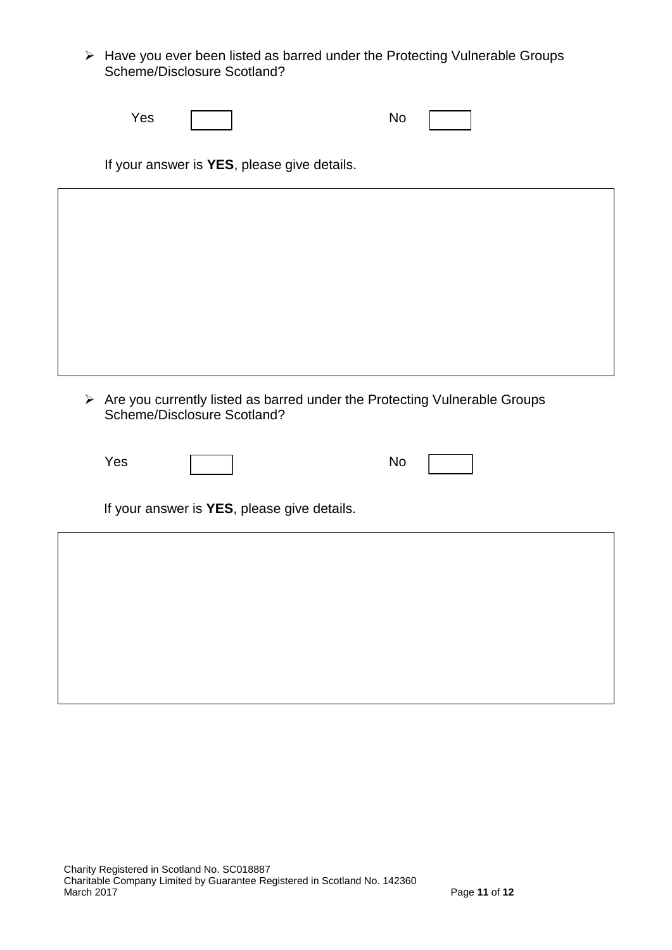Have you ever been listed as barred under the Protecting Vulnerable Groups Scheme/Disclosure Scotland?

| Yes |  | -Nr<br>. . J |  |  |
|-----|--|--------------|--|--|
|-----|--|--------------|--|--|

If your answer is **YES**, please give details.

 $\triangleright$  Are you currently listed as barred under the Protecting Vulnerable Groups Scheme/Disclosure Scotland?

| Yes | <b>NO</b> |  |
|-----|-----------|--|
|     |           |  |

If your answer is **YES**, please give details.